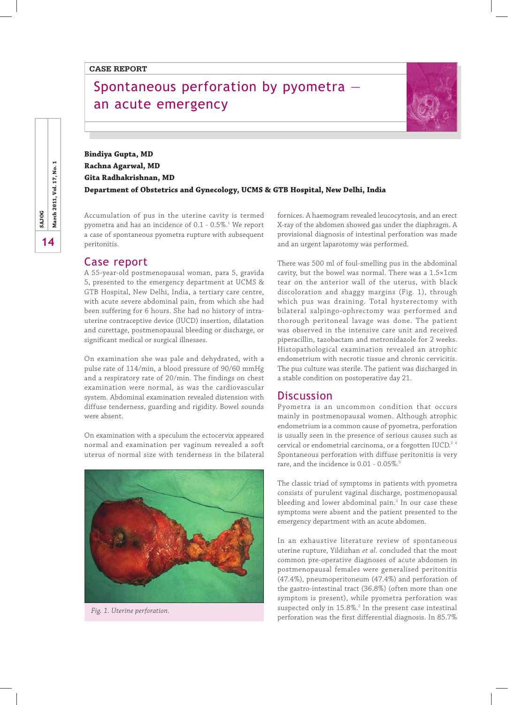# Spontaneous perforation by pyometra an acute emergency



**Bindiya Gupta, MD Rachna Agarwal, MD Gita Radhakrishnan, MD Department of Obstetrics and Gynecology, UCMS & GTB Hospital, New Delhi, India**

Accumulation of pus in the uterine cavity is termed pyometra and has an incidence of 0.1 - 0.5%. $^{\rm 1}$  We report a case of spontaneous pyometra rupture with subsequent peritonitis.

#### Case report

A 55-year-old postmenopausal woman, para 5, gravida 5, presented to the emergency department at UCMS & GTB Hospital, New Delhi, India, a tertiary care centre, with acute severe abdominal pain, from which she had been suffering for 6 hours. She had no history of intrauterine contraceptive device (IUCD) insertion, dilatation and curettage, postmenopausal bleeding or discharge, or significant medical or surgical illnesses.

On examination she was pale and dehydrated, with a pulse rate of 114/min, a blood pressure of 90/60 mmHg and a respiratory rate of 20/min. The findings on chest examination were normal, as was the cardiovascular system. Abdominal examination revealed distension with diffuse tenderness, guarding and rigidity. Bowel sounds were absent.

On examination with a speculum the ectocervix appeared normal and examination per vaginum revealed a soft uterus of normal size with tenderness in the bilateral



fornices. A haemogram revealed leucocytosis, and an erect X-ray of the abdomen showed gas under the diaphragm. A provisional diagnosis of intestinal perforation was made and an urgent laparotomy was performed.

There was 500 ml of foul-smelling pus in the abdominal cavity, but the bowel was normal. There was a 1.5×1cm tear on the anterior wall of the uterus, with black discoloration and shaggy margins (Fig. 1), through which pus was draining. Total hysterectomy with bilateral salpingo-ophrectomy was performed and thorough peritoneal lavage was done. The patient was observed in the intensive care unit and received piperacillin, tazobactam and metronidazole for 2 weeks. Histopathological examination revealed an atrophic endometrium with necrotic tissue and chronic cervicitis. The pus culture was sterile. The patient was discharged in a stable condition on postoperative day 21.

#### Discussion

Pyometra is an uncommon condition that occurs mainly in postmenopausal women. Although atrophic endometrium is a common cause of pyometra, perforation is usually seen in the presence of serious causes such as cervical or endometrial carcinoma, or a forgotten IUCD.<sup>2-4</sup> Spontaneous perforation with diffuse peritonitis is very rare, and the incidence is 0.01 - 0.05%.<sup>5</sup>

The classic triad of symptoms in patients with pyometra consists of purulent vaginal discharge, postmenopausal bleeding and lower abdominal pain.<sup>3</sup> In our case these symptoms were absent and the patient presented to the emergency department with an acute abdomen.

In an exhaustive literature review of spontaneous uterine rupture, Yildizhan *et al*. concluded that the most common pre-operative diagnoses of acute abdomen in postmenopausal females were generalised peritonitis (47.4%), pneumoperitoneum (47.4%) and perforation of the gastro-intestinal tract (36.8%) (often more than one symptom is present), while pyometra perforation was suspected only in  $15.8\%$ <sup>2</sup> In the present case intestinal perforation was the first differential diagnosis. In 85.7% *Fig. 1. Uterine perforation.*